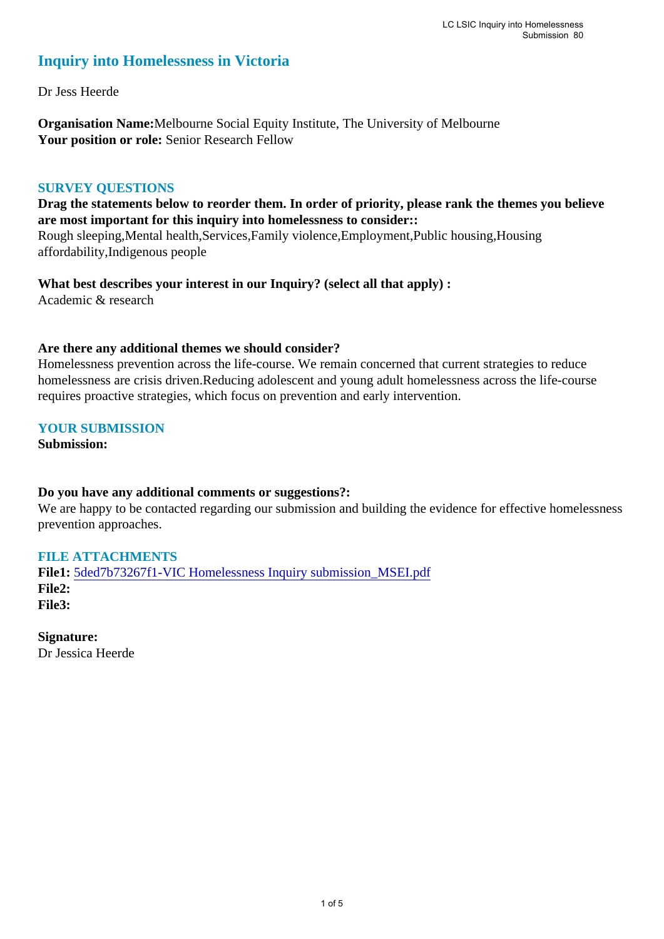# **Inquiry into Homelessness in Victoria**

Dr Jess Heerde

**Organisation Name:**Melbourne Social Equity Institute, The University of Melbourne **Your position or role:** Senior Research Fellow

#### **SURVEY QUESTIONS**

**Drag the statements below to reorder them. In order of priority, please rank the themes you believe are most important for this inquiry into homelessness to consider::** 

Rough sleeping,Mental health,Services,Family violence,Employment,Public housing,Housing affordability,Indigenous people

**What best describes your interest in our Inquiry? (select all that apply) :**  Academic & research

#### **Are there any additional themes we should consider?**

Homelessness prevention across the life-course. We remain concerned that current strategies to reduce homelessness are crisis driven.Reducing adolescent and young adult homelessness across the life-course requires proactive strategies, which focus on prevention and early intervention.

**YOUR SUBMISSION**

**Submission:** 

#### **Do you have any additional comments or suggestions?:**

We are happy to be contacted regarding our submission and building the evidence for effective homelessness prevention approaches.

# **FILE ATTACHMENTS**

**File1:** 5ded7b73267f1-VIC Homelessness Inquiry submission\_MSEI.pdf **File2: File3:** 

**Signature:** Dr Jessica Heerde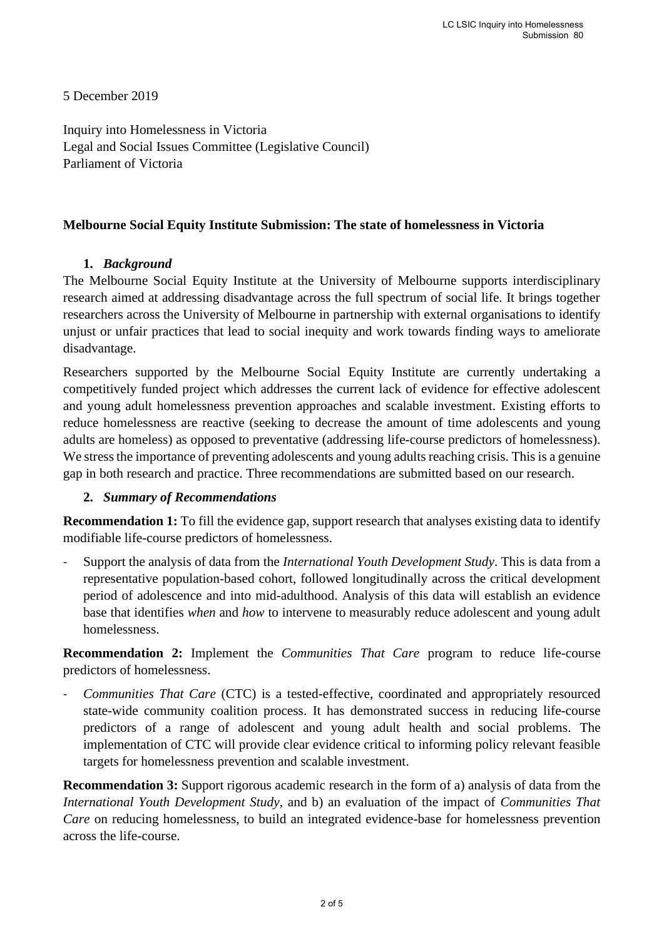5 December 2019

Inquiry into Homelessness in Victoria Legal and Social Issues Committee (Legislative Council) Parliament of Victoria

#### **Melbourne Social Equity Institute Submission: The state of homelessness in Victoria**

# **1.** *Background*

The Melbourne Social Equity Institute at the University of Melbourne supports interdisciplinary research aimed at addressing disadvantage across the full spectrum of social life. It brings together researchers across the University of Melbourne in partnership with external organisations to identify unjust or unfair practices that lead to social inequity and work towards finding ways to ameliorate disadvantage.

Researchers supported by the Melbourne Social Equity Institute are currently undertaking a competitively funded project which addresses the current lack of evidence for effective adolescent and young adult homelessness prevention approaches and scalable investment. Existing efforts to reduce homelessness are reactive (seeking to decrease the amount of time adolescents and young adults are homeless) as opposed to preventative (addressing life-course predictors of homelessness). We stress the importance of preventing adolescents and young adults reaching crisis. This is a genuine gap in both research and practice. Three recommendations are submitted based on our research.

# **2.** *Summary of Recommendations*

**Recommendation 1:** To fill the evidence gap, support research that analyses existing data to identify modifiable life-course predictors of homelessness.

- Support the analysis of data from the *International Youth Development Study*. This is data from a representative population-based cohort, followed longitudinally across the critical development period of adolescence and into mid-adulthood. Analysis of this data will establish an evidence base that identifies *when* and *how* to intervene to measurably reduce adolescent and young adult homelessness.

**Recommendation 2:** Implement the *Communities That Care* program to reduce life-course predictors of homelessness.

- *Communities That Care* (CTC) is a tested-effective, coordinated and appropriately resourced state-wide community coalition process. It has demonstrated success in reducing life-course predictors of a range of adolescent and young adult health and social problems. The implementation of CTC will provide clear evidence critical to informing policy relevant feasible targets for homelessness prevention and scalable investment.

**Recommendation 3:** Support rigorous academic research in the form of a) analysis of data from the *International Youth Development Study*, and b) an evaluation of the impact of *Communities That Care* on reducing homelessness, to build an integrated evidence-base for homelessness prevention across the life-course.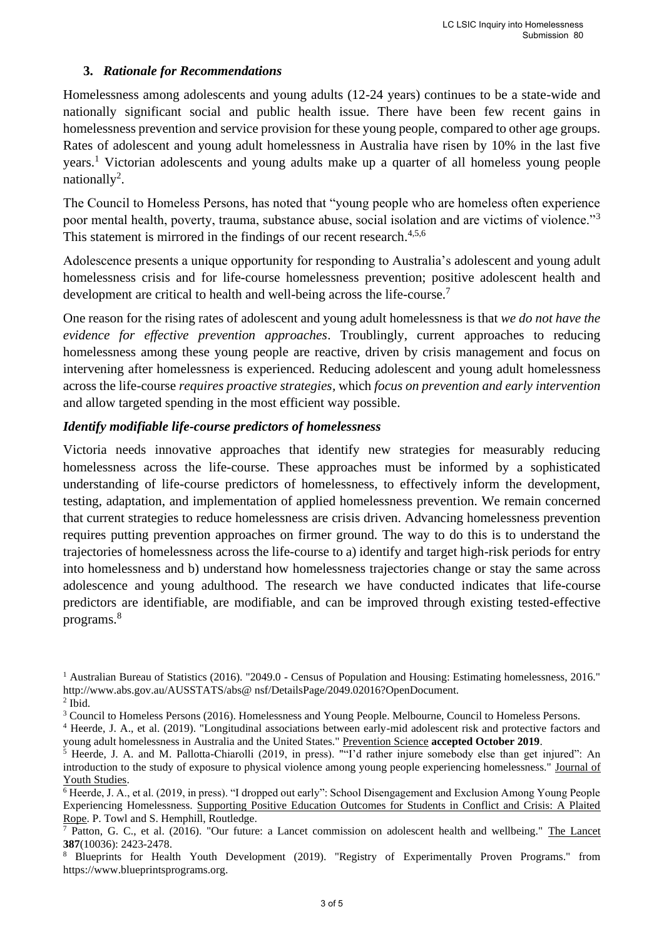# **3.** *Rationale for Recommendations*

Homelessness among adolescents and young adults (12-24 years) continues to be a state-wide and nationally significant social and public health issue. There have been few recent gains in homelessness prevention and service provision for these young people, compared to other age groups. Rates of adolescent and young adult homelessness in Australia have risen by 10% in the last five years.<sup>1</sup> Victorian adolescents and young adults make up a quarter of all homeless young people nationally<sup>2</sup>.

The Council to Homeless Persons, has noted that "young people who are homeless often experience poor mental health, poverty, trauma, substance abuse, social isolation and are victims of violence."<sup>3</sup> This statement is mirrored in the findings of our recent research.<sup>4,5,6</sup>

Adolescence presents a unique opportunity for responding to Australia's adolescent and young adult homelessness crisis and for life-course homelessness prevention; positive adolescent health and development are critical to health and well-being across the life-course.<sup>7</sup>

One reason for the rising rates of adolescent and young adult homelessness is that *we do not have the evidence for effective prevention approaches*. Troublingly, current approaches to reducing homelessness among these young people are reactive, driven by crisis management and focus on intervening after homelessness is experienced. Reducing adolescent and young adult homelessness across the life-course *requires proactive strategies,* which *focus on prevention and early intervention* and allow targeted spending in the most efficient way possible.

# *Identify modifiable life-course predictors of homelessness*

Victoria needs innovative approaches that identify new strategies for measurably reducing homelessness across the life-course. These approaches must be informed by a sophisticated understanding of life-course predictors of homelessness, to effectively inform the development, testing, adaptation, and implementation of applied homelessness prevention. We remain concerned that current strategies to reduce homelessness are crisis driven. Advancing homelessness prevention requires putting prevention approaches on firmer ground. The way to do this is to understand the trajectories of homelessness across the life-course to a) identify and target high-risk periods for entry into homelessness and b) understand how homelessness trajectories change or stay the same across adolescence and young adulthood. The research we have conducted indicates that life-course predictors are identifiable, are modifiable, and can be improved through existing tested-effective programs.<sup>8</sup>

<sup>1</sup> Australian Bureau of Statistics (2016). "2049.0 - Census of Population and Housing: Estimating homelessness, 2016." http://www.abs.gov.au/AUSSTATS/abs@ nsf/DetailsPage/2049.02016?OpenDocument. 2 Ibid.

<sup>3</sup> Council to Homeless Persons (2016). Homelessness and Young People. Melbourne, Council to Homeless Persons.

<sup>&</sup>lt;sup>4</sup> Heerde, J. A., et al. (2019). "Longitudinal associations between early-mid adolescent risk and protective factors and young adult homelessness in Australia and the United States." Prevention Science **accepted October 2019**.

<sup>5</sup> Heerde, J. A. and M. Pallotta-Chiarolli (2019, in press). ""I'd rather injure somebody else than get injured": An introduction to the study of exposure to physical violence among young people experiencing homelessness." Journal of Youth Studies.

<sup>&</sup>lt;sup>6</sup> Heerde, J. A., et al. (2019, in press). "I dropped out early": School Disengagement and Exclusion Among Young People Experiencing Homelessness. Supporting Positive Education Outcomes for Students in Conflict and Crisis: A Plaited Rope. P. Towl and S. Hemphill, Routledge.

<sup>&</sup>lt;sup>7</sup> Patton, G. C., et al. (2016). "Our future: a Lancet commission on adolescent health and wellbeing." The Lancet **387**(10036): 2423-2478.

<sup>&</sup>lt;sup>8</sup> Blueprints for Health Youth Development (2019). "Registry of Experimentally Proven Programs." from https://www.blueprintsprograms.org.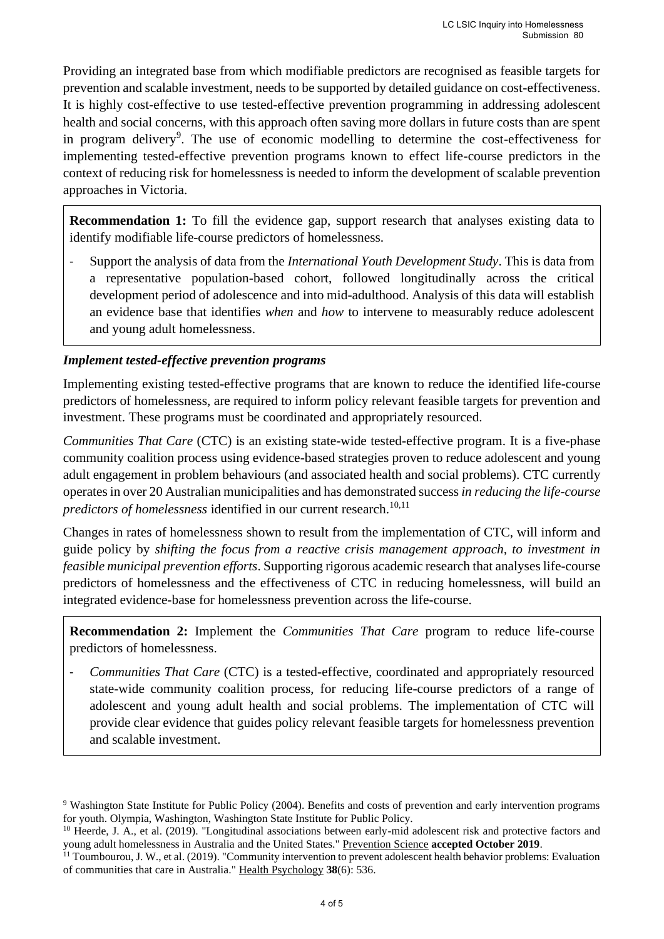Providing an integrated base from which modifiable predictors are recognised as feasible targets for prevention and scalable investment, needs to be supported by detailed guidance on cost-effectiveness. It is highly cost-effective to use tested-effective prevention programming in addressing adolescent health and social concerns, with this approach often saving more dollars in future costs than are spent in program delivery<sup>9</sup>. The use of economic modelling to determine the cost-effectiveness for implementing tested-effective prevention programs known to effect life-course predictors in the context of reducing risk for homelessness is needed to inform the development of scalable prevention approaches in Victoria.

**Recommendation 1:** To fill the evidence gap, support research that analyses existing data to identify modifiable life-course predictors of homelessness.

- Support the analysis of data from the *International Youth Development Study*. This is data from a representative population-based cohort, followed longitudinally across the critical development period of adolescence and into mid-adulthood. Analysis of this data will establish an evidence base that identifies *when* and *how* to intervene to measurably reduce adolescent and young adult homelessness.

# *Implement tested-effective prevention programs*

Implementing existing tested-effective programs that are known to reduce the identified life-course predictors of homelessness, are required to inform policy relevant feasible targets for prevention and investment. These programs must be coordinated and appropriately resourced.

*Communities That Care* (CTC) is an existing state-wide tested-effective program. It is a five-phase community coalition process using evidence-based strategies proven to reduce adolescent and young adult engagement in problem behaviours (and associated health and social problems). CTC currently operates in over 20 Australian municipalities and has demonstrated success *in reducing the life-course predictors of homelessness* identified in our current research.<sup>10,11</sup>

Changes in rates of homelessness shown to result from the implementation of CTC, will inform and guide policy by *shifting the focus from a reactive crisis management approach, to investment in feasible municipal prevention efforts*. Supporting rigorous academic research that analyses life-course predictors of homelessness and the effectiveness of CTC in reducing homelessness, will build an integrated evidence-base for homelessness prevention across the life-course.

**Recommendation 2:** Implement the *Communities That Care* program to reduce life-course predictors of homelessness.

- *Communities That Care* (CTC) is a tested-effective, coordinated and appropriately resourced state-wide community coalition process, for reducing life-course predictors of a range of adolescent and young adult health and social problems. The implementation of CTC will provide clear evidence that guides policy relevant feasible targets for homelessness prevention and scalable investment.

<sup>&</sup>lt;sup>9</sup> Washington State Institute for Public Policy (2004). Benefits and costs of prevention and early intervention programs for youth. Olympia, Washington, Washington State Institute for Public Policy.

<sup>&</sup>lt;sup>10</sup> Heerde, J. A., et al. (2019). "Longitudinal associations between early-mid adolescent risk and protective factors and young adult homelessness in Australia and the United States." Prevention Science **accepted October 2019**.

 $11$  Toumbourou, J. W., et al. (2019). "Community intervention to prevent adolescent health behavior problems: Evaluation of communities that care in Australia." Health Psychology **38**(6): 536.